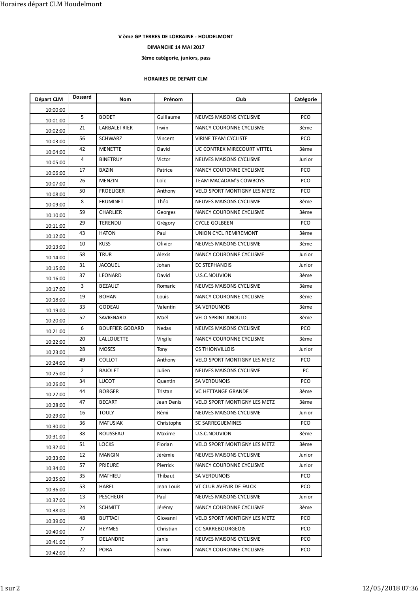## V ème GP TERRES DE LORRAINE - HOUDELMONT

## 3ème catégorie, juniors, pass

## HORAIRES DE DEPART CLM

|                      |                |                                     |                                                       | V ème GP TERRES DE LORRAINE - HOUDELMONT           |                |
|----------------------|----------------|-------------------------------------|-------------------------------------------------------|----------------------------------------------------|----------------|
|                      |                |                                     | DIMANCHE 14 MAI 2017<br>3ème catégorie, juniors, pass |                                                    |                |
|                      |                |                                     | HORAIRES DE DEPART CLM                                |                                                    |                |
| Départ CLM           | <b>Dossard</b> | Nom                                 | Prénom                                                | Club                                               | Catégorie      |
| 10:00:00             |                |                                     |                                                       |                                                    |                |
| 10:01:00             | 5              | <b>BODET</b>                        | Guillaume                                             | NEUVES MAISONS CYCLISME                            | PCO            |
| 10:02:00             | 21             | LARBALETRIER                        | Irwin                                                 | NANCY COURONNE CYCLISME                            | 3ème           |
| 10:03:00             | 56             | SCHWARZ                             | Vincent                                               | VIRINE TEAM CYCLISTE                               | PCO            |
| 10:04:00             | 42             | MENETTE                             | David                                                 | UC CONTREX MIRECOURT VITTEL                        | 3ème           |
| 10:05:00             | 4              | <b>BINETRUY</b>                     | Victor                                                | NEUVES MAISONS CYCLISME                            | Junior         |
| 10:06:00             | 17<br>26       | BAZIN<br>MENZIN                     | Patrice<br>Loïc                                       | NANCY COURONNE CYCLISME<br>TEAM MACADAM'S COWBOYS  | PCO<br>PCO     |
| 10:07:00             | 50             | <b>FROELIGER</b>                    | Anthony                                               | VELO SPORT MONTIGNY LES METZ                       | PCO            |
| 10:08:00             | 8              | <b>FRUMINET</b>                     | Théo                                                  | NEUVES MAISONS CYCLISME                            | 3ème           |
| 10:09:00<br>10:10:00 | 59             | CHARLIER                            | Georges                                               | NANCY COURONNE CYCLISME                            | 3ème           |
| 10:11:00             | 29             | TERENDIJ                            | Grégory                                               | <b>CYCLE GOLBEEN</b>                               | PCO            |
| 10:12:00             | 43             | <b>HATON</b>                        | Paul                                                  | UNION CYCL REMIREMONT                              | 3ème           |
| 10:13:00             | 10             | <b>KUSS</b>                         | Olivier                                               | NEUVES MAISONS CYCLISME                            | 3ème           |
| 10:14:00             | 58             | TRUR                                | Alexis                                                | NANCY COURONNE CYCLISME                            | Junior         |
| 10:15:00             | 31             | <b>JACQUEL</b>                      | Johan                                                 | EC STEPHANOIS                                      | Junior         |
| 10:16:00             | 37             | LEONARD                             | David                                                 | U.S.C.NOUVION                                      | 3ème           |
| 10:17:00             | 3              | <b>BEZAULT</b>                      | Romaric                                               | NEUVES MAISONS CYCLISME                            | 3ème           |
| 10:18:00             | 19             | BOHAN                               | Louis                                                 | NANCY COURONNE CYCLISME                            | 3ème           |
| 10:19:00             | 33             | <b>GODEAU</b>                       | Valentin                                              | SA VERDUNOIS                                       | 3ème           |
| 10:20:00             | 52             | SAVIGNARD<br><b>BOUFFIER GODARD</b> | Maël                                                  | <b>VELO SPRINT ANOULD</b>                          | 3ème<br>PCO    |
| 10:21:00             | 6<br>20        | LALLOUETTE                          | Nedas<br>Virgile                                      | NEUVES MAISONS CYCLISME<br>NANCY COURONNE CYCLISME | 3ème           |
| 10:22:00             | 28             | <b>MOSES</b>                        | Tony                                                  | <b>CS THIONVILLOIS</b>                             | Junior         |
| 10:23:00             | 49             | COLLOT                              | Anthony                                               | VELO SPORT MONTIGNY LES METZ                       | PCO            |
| 10:24:00             | $\overline{2}$ | <b>BAJOLET</b>                      | Julien                                                | NEUVES MAISONS CYCLISME                            | PC             |
| 10:25:00<br>10:26:00 | 34             | LUCOT                               | Quentin                                               | SA VERDUNOIS                                       | PCO            |
| 10:27:00             | 44             | <b>BORGER</b>                       | Tristan                                               | VC HETTANGE GRANDE                                 | 3ème           |
| 10:28:00             | 47             | <b>BECART</b>                       | Jean Denis                                            | VELO SPORT MONTIGNY LES METZ                       | 3ème           |
| 10:29:00             | 16             | <b>TOULY</b>                        | Rémi                                                  | NEUVES MAISONS CYCLISME                            | Junior         |
| 10:30:00             | 36             | <b>MATUSIAK</b>                     | Christophe                                            | SC SARREGUEMINES                                   | PCO            |
| 10:31:00             | 38             | ROUSSEAU                            | Maxime                                                | U.S.C.NOUVION                                      | 3ème           |
| 10:32:00             | 51             | LOCKS                               | Florian                                               | VELO SPORT MONTIGNY LES METZ                       | 3ème           |
| 10:33:00             | 12             | <b>MANGIN</b>                       | Jérémie                                               | NEUVES MAISONS CYCLISME                            | Junior         |
| 10:34:00             | 57             | PRIEURE                             | Pierrick                                              | NANCY COURONNE CYCLISME                            | Junior         |
| 10:35:00             | 35             | MATHIEU                             | Thibaut                                               | SA VERDUNOIS                                       | PCO            |
| 10:36:00             | 53<br>13       | HAREL<br>PESCHEUR                   | Jean Louis<br>Paul                                    | VT CLUB AVENIR DE FALCK<br>NEUVES MAISONS CYCLISME | PCO            |
| 10:37:00             | 24             | <b>SCHMITT</b>                      | Jérémy                                                | NANCY COURONNE CYCLISME                            | Junior<br>3ème |
| 10:38:00             | 48             | <b>BUTTACI</b>                      | Giovanni                                              | VELO SPORT MONTIGNY LES METZ                       | PCO            |
| 10:39:00             | 27             | HEYMES                              | Christian                                             | <b>CC SARREBOURGEOIS</b>                           | PCO            |
| 10:40:00             | $\overline{7}$ | DELANDRE                            | Janis                                                 | NEUVES MAISONS CYCLISME                            | PCO            |
| 10:41:00             | 22<br>10:42:00 | PORA                                | Simon                                                 | NANCY COURONNE CYCLISME                            | PCO            |